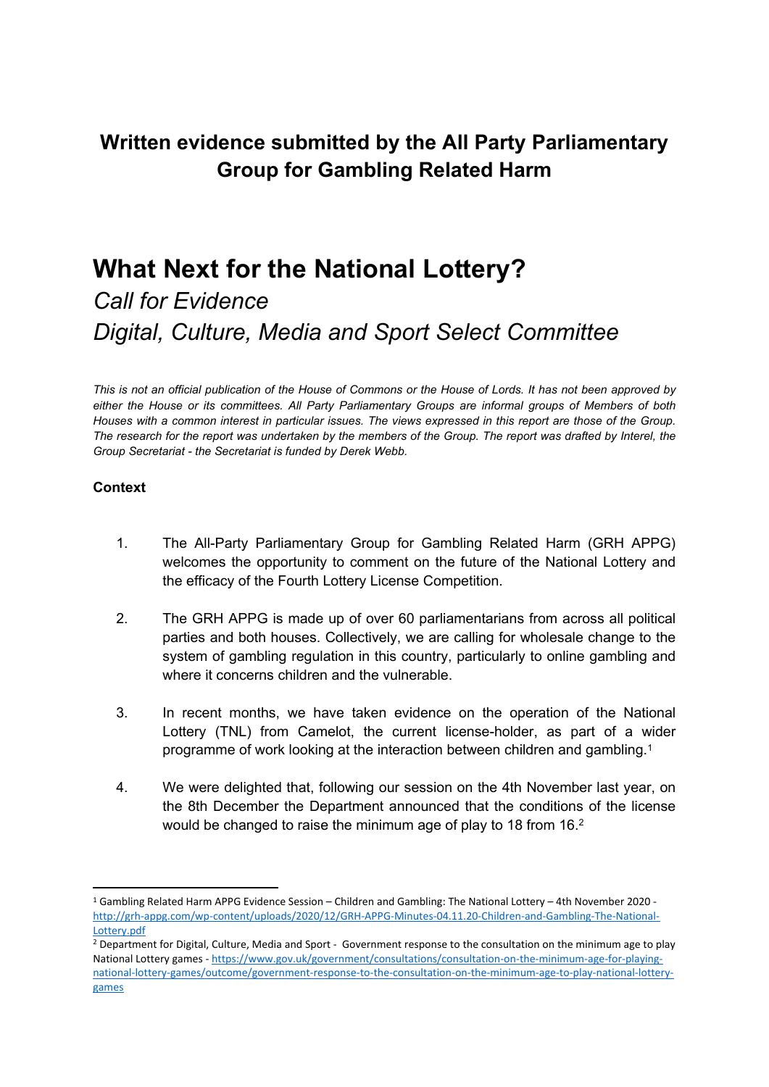# **Written evidence submitted by the All Party Parliamentary Group for Gambling Related Harm**

# **What Next for the National Lottery?**

# *Call for Evidence Digital, Culture, Media and Sport Select Committee*

This is not an official publication of the House of Commons or the House of Lords. It has not been approved by *either the House or its committees. All Party Parliamentary Groups are informal groups of Members of both* Houses with a common interest in particular issues. The views expressed in this report are those of the Group. The research for the report was undertaken by the members of the Group. The report was drafted by Interel, the *Group Secretariat - the Secretariat is funded by Derek Webb.*

#### **Context**

- 1. The All-Party Parliamentary Group for Gambling Related Harm (GRH APPG) welcomes the opportunity to comment on the future of the National Lottery and the efficacy of the Fourth Lottery License Competition.
- 2. The GRH APPG is made up of over 60 parliamentarians from across all political parties and both houses. Collectively, we are calling for wholesale change to the system of gambling regulation in this country, particularly to online gambling and where it concerns children and the vulnerable.
- 3. In recent months, we have taken evidence on the operation of the National Lottery (TNL) from Camelot, the current license-holder, as part of a wider programme of work looking at the interaction between children and gambling.<sup>1</sup>
- 4. We were delighted that, following our session on the 4th November last year, on the 8th December the Department announced that the conditions of the license would be changed to raise the minimum age of play to 18 from 16.<sup>2</sup>

<sup>1</sup> Gambling Related Harm APPG Evidence Session – Children and Gambling: The National Lottery – 4th November 2020 [http://grh-appg.com/wp-content/uploads/2020/12/GRH-APPG-Minutes-04.11.20-Children-and-Gambling-The-National-](http://grh-appg.com/wp-content/uploads/2020/12/GRH-APPG-Minutes-04.11.20-Children-and-Gambling-The-National-Lottery.pdf)[Lottery.pdf](http://grh-appg.com/wp-content/uploads/2020/12/GRH-APPG-Minutes-04.11.20-Children-and-Gambling-The-National-Lottery.pdf)

<sup>&</sup>lt;sup>2</sup> Department for Digital, Culture, Media and Sport - Government response to the consultation on the minimum age to play National Lottery games - [https://www.gov.uk/government/consultations/consultation-on-the-minimum-age-for-playing](https://www.gov.uk/government/consultations/consultation-on-the-minimum-age-for-playing-national-lottery-games/outcome/government-response-to-the-consultation-on-the-minimum-age-to-play-national-lottery-games)[national-lottery-games/outcome/government-response-to-the-consultation-on-the-minimum-age-to-play-national-lottery](https://www.gov.uk/government/consultations/consultation-on-the-minimum-age-for-playing-national-lottery-games/outcome/government-response-to-the-consultation-on-the-minimum-age-to-play-national-lottery-games)[games](https://www.gov.uk/government/consultations/consultation-on-the-minimum-age-for-playing-national-lottery-games/outcome/government-response-to-the-consultation-on-the-minimum-age-to-play-national-lottery-games)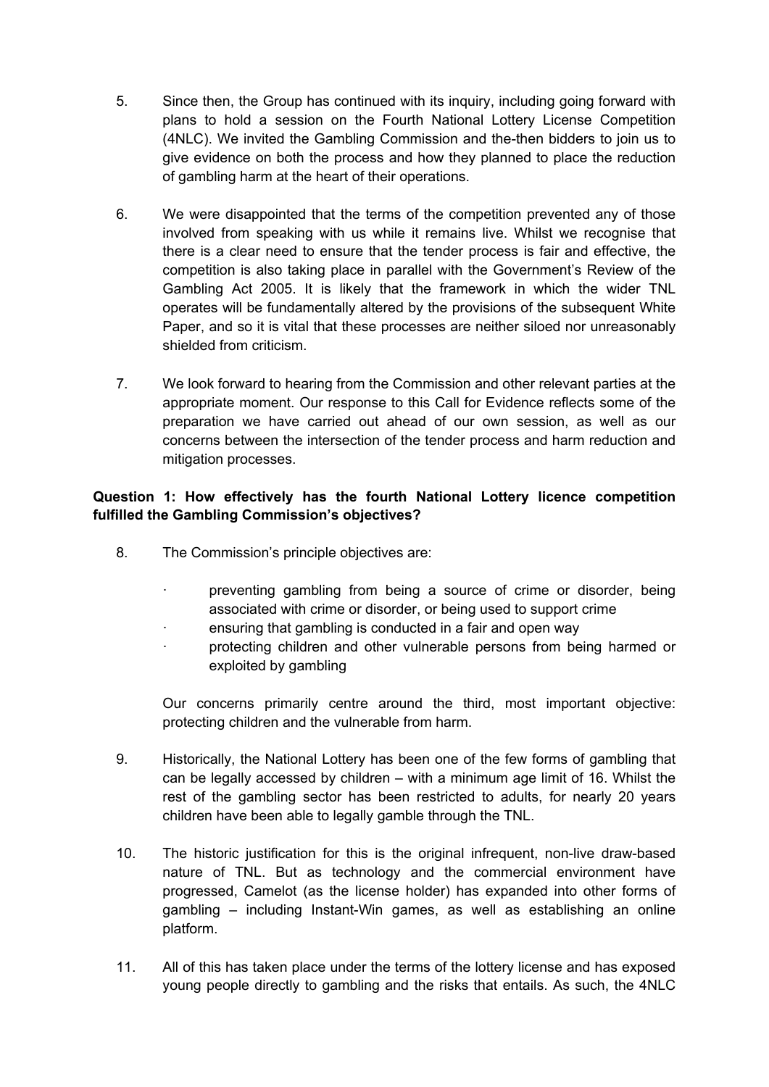- 5. Since then, the Group has continued with its inquiry, including going forward with plans to hold a session on the Fourth National Lottery License Competition (4NLC). We invited the Gambling Commission and the-then bidders to join us to give evidence on both the process and how they planned to place the reduction of gambling harm at the heart of their operations.
- 6. We were disappointed that the terms of the competition prevented any of those involved from speaking with us while it remains live. Whilst we recognise that there is a clear need to ensure that the tender process is fair and effective, the competition is also taking place in parallel with the Government's Review of the Gambling Act 2005. It is likely that the framework in which the wider TNL operates will be fundamentally altered by the provisions of the subsequent White Paper, and so it is vital that these processes are neither siloed nor unreasonably shielded from criticism.
- 7. We look forward to hearing from the Commission and other relevant parties at the appropriate moment. Our response to this Call for Evidence reflects some of the preparation we have carried out ahead of our own session, as well as our concerns between the intersection of the tender process and harm reduction and mitigation processes.

### **Question 1: How effectively has the fourth National Lottery licence competition fulfilled the Gambling Commission's objectives?**

- 8. The Commission's principle objectives are:
	- · preventing gambling from being a source of crime or disorder, being associated with crime or disorder, or being used to support crime
	- ensuring that gambling is conducted in a fair and open way
	- · protecting children and other vulnerable persons from being harmed or exploited by gambling

Our concerns primarily centre around the third, most important objective: protecting children and the vulnerable from harm.

- 9. Historically, the National Lottery has been one of the few forms of gambling that can be legally accessed by children – with a minimum age limit of 16. Whilst the rest of the gambling sector has been restricted to adults, for nearly 20 years children have been able to legally gamble through the TNL.
- 10. The historic justification for this is the original infrequent, non-live draw-based nature of TNL. But as technology and the commercial environment have progressed, Camelot (as the license holder) has expanded into other forms of gambling – including Instant-Win games, as well as establishing an online platform.
- 11. All of this has taken place under the terms of the lottery license and has exposed young people directly to gambling and the risks that entails. As such, the 4NLC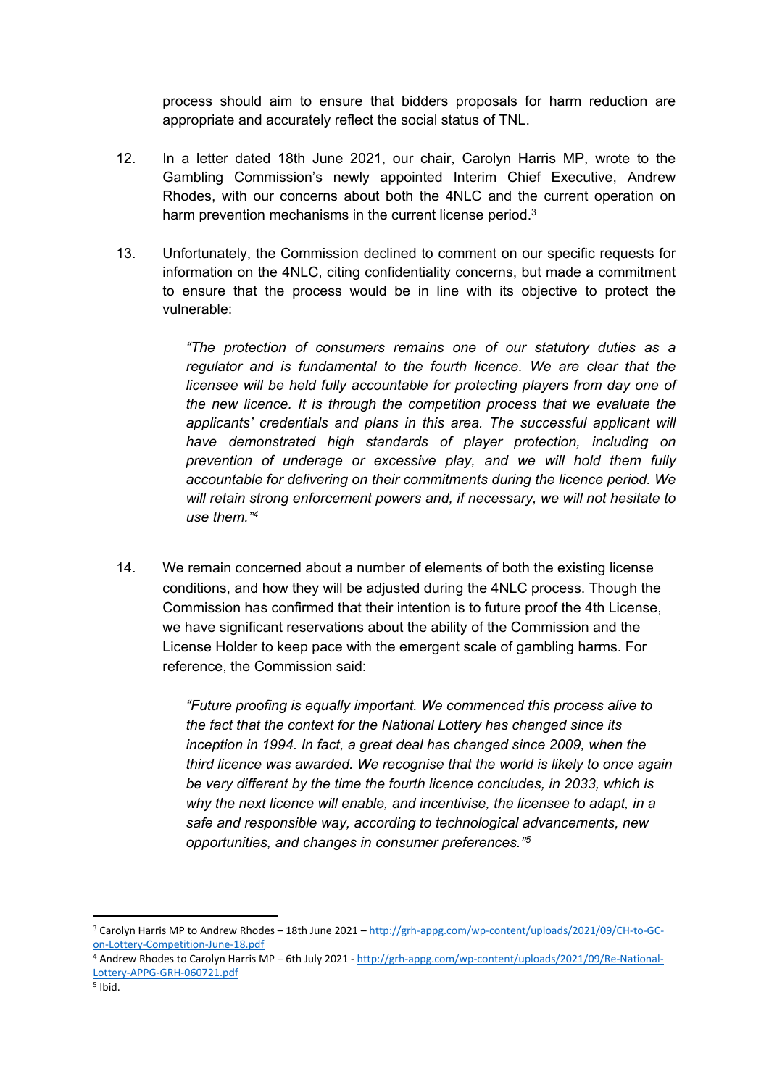process should aim to ensure that bidders proposals for harm reduction are appropriate and accurately reflect the social status of TNL.

- 12. In a letter dated 18th June 2021, our chair, Carolyn Harris MP, wrote to the Gambling Commission's newly appointed Interim Chief Executive, Andrew Rhodes, with our concerns about both the 4NLC and the current operation on harm prevention mechanisms in the current license period.<sup>3</sup>
- 13. Unfortunately, the Commission declined to comment on our specific requests for information on the 4NLC, citing confidentiality concerns, but made a commitment to ensure that the process would be in line with its objective to protect the vulnerable:

*"The protection of consumers remains one of our statutory duties as a regulator and is fundamental to the fourth licence. We are clear that the licensee will be held fully accountable for protecting players from day one of the new licence. It is through the competition process that we evaluate the applicants' credentials and plans in this area. The successful applicant will have demonstrated high standards of player protection, including on prevention of underage or excessive play, and we will hold them fully accountable for delivering on their commitments during the licence period. We will retain strong enforcement powers and, if necessary, we will not hesitate to use them."<sup>4</sup>*

14. We remain concerned about a number of elements of both the existing license conditions, and how they will be adjusted during the 4NLC process. Though the Commission has confirmed that their intention is to future proof the 4th License, we have significant reservations about the ability of the Commission and the License Holder to keep pace with the emergent scale of gambling harms. For reference, the Commission said:

> *"Future proofing is equally important. We commenced this process alive to the fact that the context for the National Lottery has changed since its inception in 1994. In fact, a great deal has changed since 2009, when the third licence was awarded. We recognise that the world is likely to once again be very different by the time the fourth licence concludes, in 2033, which is why the next licence will enable, and incentivise, the licensee to adapt, in a safe and responsible way, according to technological advancements, new opportunities, and changes in consumer preferences."<sup>5</sup>*

<sup>3</sup> Carolyn Harris MP to Andrew Rhodes – 18th June 2021 – [http://grh-appg.com/wp-content/uploads/2021/09/CH-to-GC](http://grh-appg.com/wp-content/uploads/2021/09/CH-to-GC-on-Lottery-Competition-June-18.pdf)[on-Lottery-Competition-June-18.pdf](http://grh-appg.com/wp-content/uploads/2021/09/CH-to-GC-on-Lottery-Competition-June-18.pdf)

<sup>4</sup> Andrew Rhodes to Carolyn Harris MP – 6th July 2021 - [http://grh-appg.com/wp-content/uploads/2021/09/Re-National-](http://grh-appg.com/wp-content/uploads/2021/09/Re-National-Lottery-APPG-GRH-060721.pdf)[Lottery-APPG-GRH-060721.pdf](http://grh-appg.com/wp-content/uploads/2021/09/Re-National-Lottery-APPG-GRH-060721.pdf)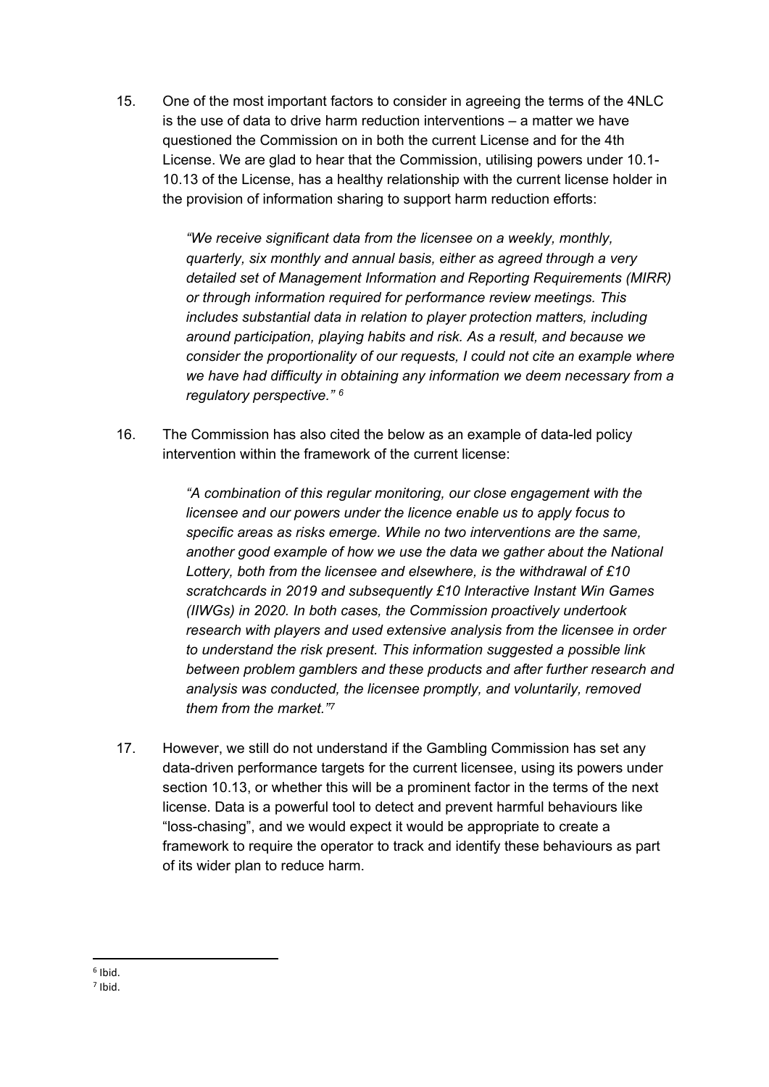15. One of the most important factors to consider in agreeing the terms of the 4NLC is the use of data to drive harm reduction interventions – a matter we have questioned the Commission on in both the current License and for the 4th License. We are glad to hear that the Commission, utilising powers under 10.1- 10.13 of the License, has a healthy relationship with the current license holder in the provision of information sharing to support harm reduction efforts:

> *"We receive significant data from the licensee on a weekly, monthly, quarterly, six monthly and annual basis, either as agreed through a very detailed set of Management Information and Reporting Requirements (MIRR) or through information required for performance review meetings. This includes substantial data in relation to player protection matters, including around participation, playing habits and risk. As a result, and because we consider the proportionality of our requests, I could not cite an example where we have had difficulty in obtaining any information we deem necessary from a regulatory perspective." <sup>6</sup>*

16. The Commission has also cited the below as an example of data-led policy intervention within the framework of the current license:

> *"A combination of this regular monitoring, our close engagement with the licensee and our powers under the licence enable us to apply focus to specific areas as risks emerge. While no two interventions are the same, another good example of how we use the data we gather about the National Lottery, both from the licensee and elsewhere, is the withdrawal of £10 scratchcards in 2019 and subsequently £10 Interactive Instant Win Games (IIWGs) in 2020. In both cases, the Commission proactively undertook research with players and used extensive analysis from the licensee in order to understand the risk present. This information suggested a possible link between problem gamblers and these products and after further research and analysis was conducted, the licensee promptly, and voluntarily, removed them from the market."<sup>7</sup>*

17. However, we still do not understand if the Gambling Commission has set any data-driven performance targets for the current licensee, using its powers under section 10.13, or whether this will be a prominent factor in the terms of the next license. Data is a powerful tool to detect and prevent harmful behaviours like "loss-chasing", and we would expect it would be appropriate to create a framework to require the operator to track and identify these behaviours as part of its wider plan to reduce harm.

<sup>6</sup> Ibid.

<sup>7</sup> Ibid.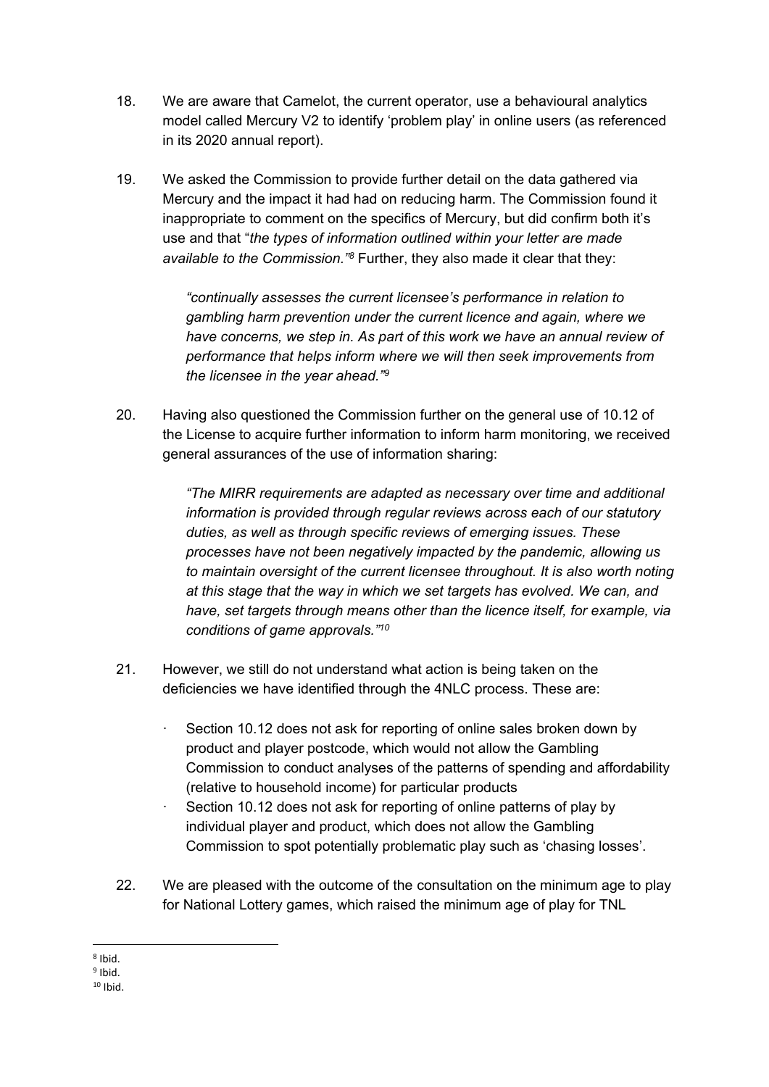- 18. We are aware that Camelot, the current operator, use a behavioural analytics model called Mercury V2 to identify 'problem play' in online users (as referenced in its 2020 annual report).
- 19. We asked the Commission to provide further detail on the data gathered via Mercury and the impact it had had on reducing harm. The Commission found it inappropriate to comment on the specifics of Mercury, but did confirm both it's use and that "*the types of information outlined within your letter are made available to the Commission."<sup>8</sup>* Further, they also made it clear that they:

*"continually assesses the current licensee's performance in relation to gambling harm prevention under the current licence and again, where we have concerns, we step in. As part of this work we have an annual review of performance that helps inform where we will then seek improvements from the licensee in the year ahead."<sup>9</sup>*

20. Having also questioned the Commission further on the general use of 10.12 of the License to acquire further information to inform harm monitoring, we received general assurances of the use of information sharing:

> *"The MIRR requirements are adapted as necessary over time and additional information is provided through regular reviews across each of our statutory duties, as well as through specific reviews of emerging issues. These processes have not been negatively impacted by the pandemic, allowing us to maintain oversight of the current licensee throughout. It is also worth noting at this stage that the way in which we set targets has evolved. We can, and have, set targets through means other than the licence itself, for example, via conditions of game approvals."<sup>10</sup>*

- 21. However, we still do not understand what action is being taken on the deficiencies we have identified through the 4NLC process. These are:
	- Section 10.12 does not ask for reporting of online sales broken down by product and player postcode, which would not allow the Gambling Commission to conduct analyses of the patterns of spending and affordability (relative to household income) for particular products
	- Section 10.12 does not ask for reporting of online patterns of play by individual player and product, which does not allow the Gambling Commission to spot potentially problematic play such as 'chasing losses'.
- 22. We are pleased with the outcome of the consultation on the minimum age to play for National Lottery games, which raised the minimum age of play for TNL

<sup>8</sup> Ibid.

<sup>&</sup>lt;sup>9</sup> Ibid.

 $10$  Ibid.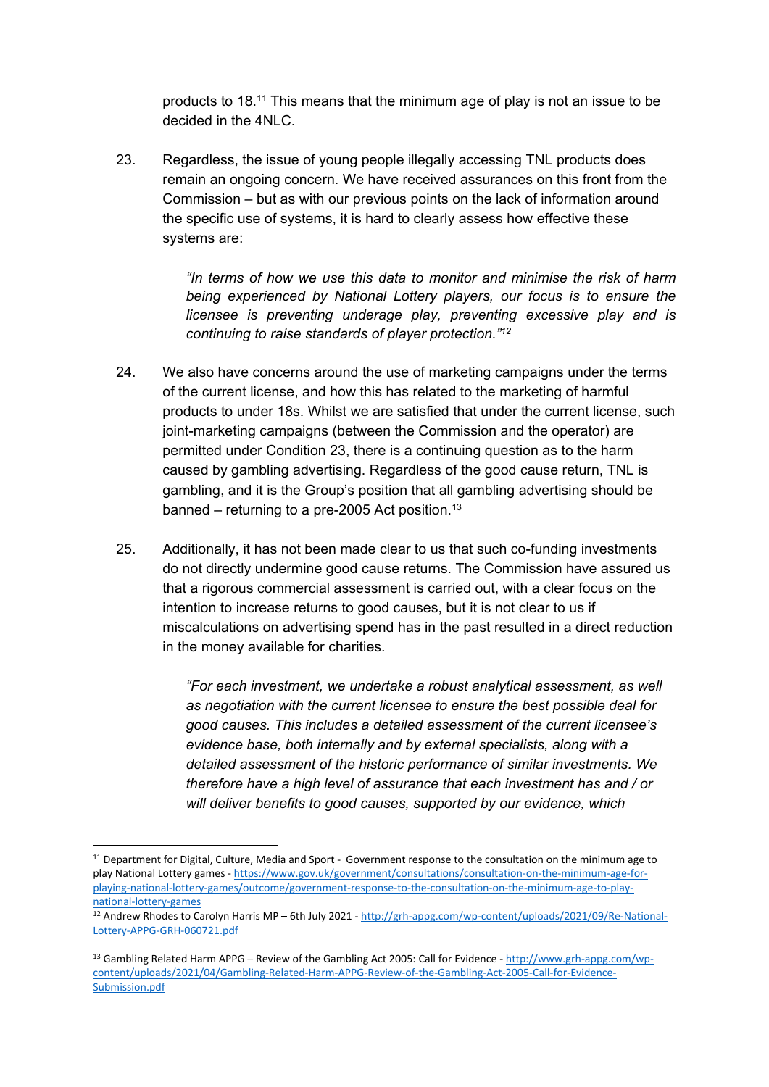products to 18.<sup>11</sup> This means that the minimum age of play is not an issue to be decided in the 4NLC.

23. Regardless, the issue of young people illegally accessing TNL products does remain an ongoing concern. We have received assurances on this front from the Commission – but as with our previous points on the lack of information around the specific use of systems, it is hard to clearly assess how effective these systems are:

> *"In terms of how we use this data to monitor and minimise the risk of harm being experienced by National Lottery players, our focus is to ensure the licensee is preventing underage play, preventing excessive play and is continuing to raise standards of player protection."<sup>12</sup>*

- 24. We also have concerns around the use of marketing campaigns under the terms of the current license, and how this has related to the marketing of harmful products to under 18s. Whilst we are satisfied that under the current license, such joint-marketing campaigns (between the Commission and the operator) are permitted under Condition 23, there is a continuing question as to the harm caused by gambling advertising. Regardless of the good cause return, TNL is gambling, and it is the Group's position that all gambling advertising should be banned – returning to a pre-2005 Act position.<sup>13</sup>
- 25. Additionally, it has not been made clear to us that such co-funding investments do not directly undermine good cause returns. The Commission have assured us that a rigorous commercial assessment is carried out, with a clear focus on the intention to increase returns to good causes, but it is not clear to us if miscalculations on advertising spend has in the past resulted in a direct reduction in the money available for charities.

*"For each investment, we undertake a robust analytical assessment, as well as negotiation with the current licensee to ensure the best possible deal for good causes. This includes a detailed assessment of the current licensee's evidence base, both internally and by external specialists, along with a detailed assessment of the historic performance of similar investments. We therefore have a high level of assurance that each investment has and / or will deliver benefits to good causes, supported by our evidence, which*

 $11$  Department for Digital, Culture, Media and Sport - Government response to the consultation on the minimum age to play National Lottery games - [https://www.gov.uk/government/consultations/consultation-on-the-minimum-age-for](https://www.gov.uk/government/consultations/consultation-on-the-minimum-age-for-playing-national-lottery-games/outcome/government-response-to-the-consultation-on-the-minimum-age-to-play-national-lottery-games)[playing-national-lottery-games/outcome/government-response-to-the-consultation-on-the-minimum-age-to-play](https://www.gov.uk/government/consultations/consultation-on-the-minimum-age-for-playing-national-lottery-games/outcome/government-response-to-the-consultation-on-the-minimum-age-to-play-national-lottery-games)[national-lottery-games](https://www.gov.uk/government/consultations/consultation-on-the-minimum-age-for-playing-national-lottery-games/outcome/government-response-to-the-consultation-on-the-minimum-age-to-play-national-lottery-games)

<sup>12</sup> Andrew Rhodes to Carolyn Harris MP – 6th July 2021 - [http://grh-appg.com/wp-content/uploads/2021/09/Re-National-](http://grh-appg.com/wp-content/uploads/2021/09/Re-National-Lottery-APPG-GRH-060721.pdf)[Lottery-APPG-GRH-060721.pdf](http://grh-appg.com/wp-content/uploads/2021/09/Re-National-Lottery-APPG-GRH-060721.pdf)

<sup>13</sup> Gambling Related Harm APPG – Review of the Gambling Act 2005: Call for Evidence - [http://www.grh-appg.com/wp](http://www.grh-appg.com/wp-content/uploads/2021/04/Gambling-Related-Harm-APPG-Review-of-the-Gambling-Act-2005-Call-for-Evidence-Submission.pdf)[content/uploads/2021/04/Gambling-Related-Harm-APPG-Review-of-the-Gambling-Act-2005-Call-for-Evidence-](http://www.grh-appg.com/wp-content/uploads/2021/04/Gambling-Related-Harm-APPG-Review-of-the-Gambling-Act-2005-Call-for-Evidence-Submission.pdf)[Submission.pdf](http://www.grh-appg.com/wp-content/uploads/2021/04/Gambling-Related-Harm-APPG-Review-of-the-Gambling-Act-2005-Call-for-Evidence-Submission.pdf)